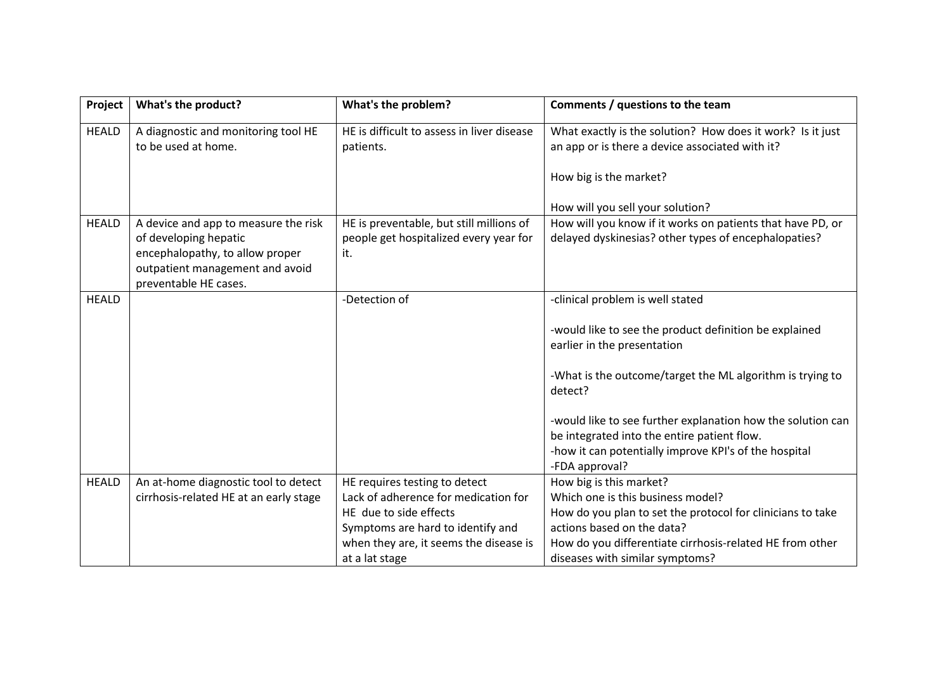| Project      | What's the product?                                                                         | What's the problem?                                                                | Comments / questions to the team                                                                                                                                    |
|--------------|---------------------------------------------------------------------------------------------|------------------------------------------------------------------------------------|---------------------------------------------------------------------------------------------------------------------------------------------------------------------|
| <b>HEALD</b> | A diagnostic and monitoring tool HE<br>to be used at home.                                  | HE is difficult to assess in liver disease<br>patients.                            | What exactly is the solution? How does it work? Is it just<br>an app or is there a device associated with it?                                                       |
|              |                                                                                             |                                                                                    | How big is the market?                                                                                                                                              |
|              |                                                                                             |                                                                                    | How will you sell your solution?                                                                                                                                    |
| <b>HEALD</b> | A device and app to measure the risk<br>of developing hepatic                               | HE is preventable, but still millions of<br>people get hospitalized every year for | How will you know if it works on patients that have PD, or<br>delayed dyskinesias? other types of encephalopaties?                                                  |
|              | encephalopathy, to allow proper<br>outpatient management and avoid<br>preventable HE cases. | it.                                                                                |                                                                                                                                                                     |
| <b>HEALD</b> |                                                                                             | -Detection of                                                                      | -clinical problem is well stated                                                                                                                                    |
|              |                                                                                             |                                                                                    | -would like to see the product definition be explained<br>earlier in the presentation                                                                               |
|              |                                                                                             |                                                                                    | -What is the outcome/target the ML algorithm is trying to<br>detect?                                                                                                |
|              |                                                                                             |                                                                                    | -would like to see further explanation how the solution can<br>be integrated into the entire patient flow.<br>-how it can potentially improve KPI's of the hospital |
|              |                                                                                             |                                                                                    | -FDA approval?                                                                                                                                                      |
| <b>HEALD</b> | An at-home diagnostic tool to detect                                                        | HE requires testing to detect                                                      | How big is this market?                                                                                                                                             |
|              | cirrhosis-related HE at an early stage                                                      | Lack of adherence for medication for                                               | Which one is this business model?                                                                                                                                   |
|              |                                                                                             | HE due to side effects                                                             | How do you plan to set the protocol for clinicians to take<br>actions based on the data?                                                                            |
|              |                                                                                             | Symptoms are hard to identify and                                                  |                                                                                                                                                                     |
|              |                                                                                             | when they are, it seems the disease is<br>at a lat stage                           | How do you differentiate cirrhosis-related HE from other<br>diseases with similar symptoms?                                                                         |
|              |                                                                                             |                                                                                    |                                                                                                                                                                     |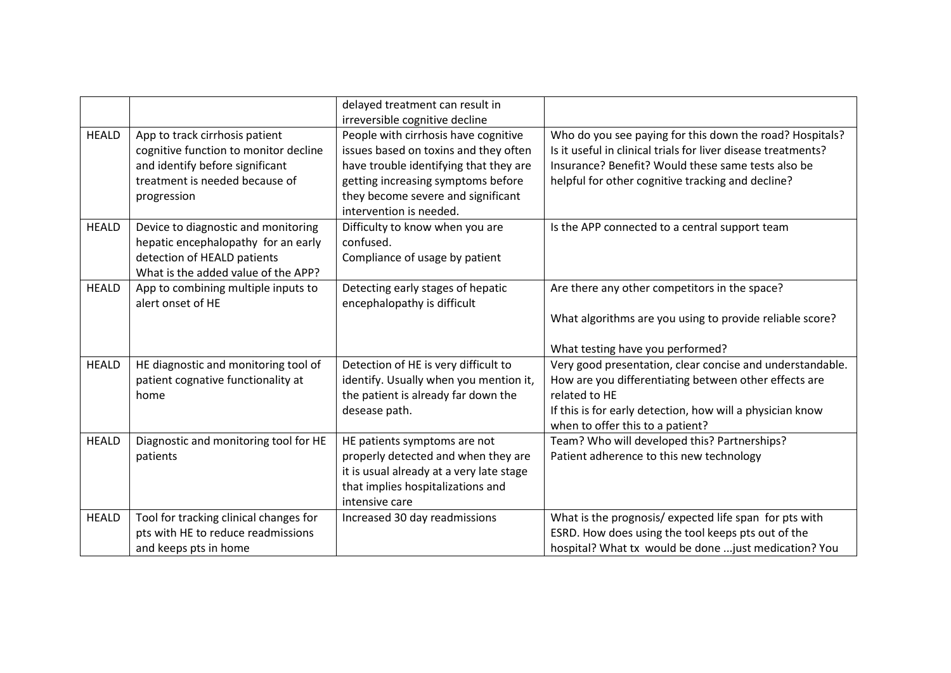|              |                                                                                                                                                             | delayed treatment can result in<br>irreversible cognitive decline                                                                                                                                                              |                                                                                                                                                                                                                                      |
|--------------|-------------------------------------------------------------------------------------------------------------------------------------------------------------|--------------------------------------------------------------------------------------------------------------------------------------------------------------------------------------------------------------------------------|--------------------------------------------------------------------------------------------------------------------------------------------------------------------------------------------------------------------------------------|
| <b>HEALD</b> | App to track cirrhosis patient<br>cognitive function to monitor decline<br>and identify before significant<br>treatment is needed because of<br>progression | People with cirrhosis have cognitive<br>issues based on toxins and they often<br>have trouble identifying that they are<br>getting increasing symptoms before<br>they become severe and significant<br>intervention is needed. | Who do you see paying for this down the road? Hospitals?<br>Is it useful in clinical trials for liver disease treatments?<br>Insurance? Benefit? Would these same tests also be<br>helpful for other cognitive tracking and decline? |
| <b>HEALD</b> | Device to diagnostic and monitoring<br>hepatic encephalopathy for an early<br>detection of HEALD patients<br>What is the added value of the APP?            | Difficulty to know when you are<br>confused.<br>Compliance of usage by patient                                                                                                                                                 | Is the APP connected to a central support team                                                                                                                                                                                       |
| <b>HEALD</b> | App to combining multiple inputs to<br>alert onset of HE                                                                                                    | Detecting early stages of hepatic<br>encephalopathy is difficult                                                                                                                                                               | Are there any other competitors in the space?<br>What algorithms are you using to provide reliable score?<br>What testing have you performed?                                                                                        |
| <b>HEALD</b> | HE diagnostic and monitoring tool of<br>patient cognative functionality at<br>home                                                                          | Detection of HE is very difficult to<br>identify. Usually when you mention it,<br>the patient is already far down the<br>desease path.                                                                                         | Very good presentation, clear concise and understandable.<br>How are you differentiating between other effects are<br>related to HE<br>If this is for early detection, how will a physician know<br>when to offer this to a patient? |
| <b>HEALD</b> | Diagnostic and monitoring tool for HE<br>patients                                                                                                           | HE patients symptoms are not<br>properly detected and when they are<br>it is usual already at a very late stage<br>that implies hospitalizations and<br>intensive care                                                         | Team? Who will developed this? Partnerships?<br>Patient adherence to this new technology                                                                                                                                             |
| <b>HEALD</b> | Tool for tracking clinical changes for<br>pts with HE to reduce readmissions<br>and keeps pts in home                                                       | Increased 30 day readmissions                                                                                                                                                                                                  | What is the prognosis/ expected life span for pts with<br>ESRD. How does using the tool keeps pts out of the<br>hospital? What tx would be done  just medication? You                                                                |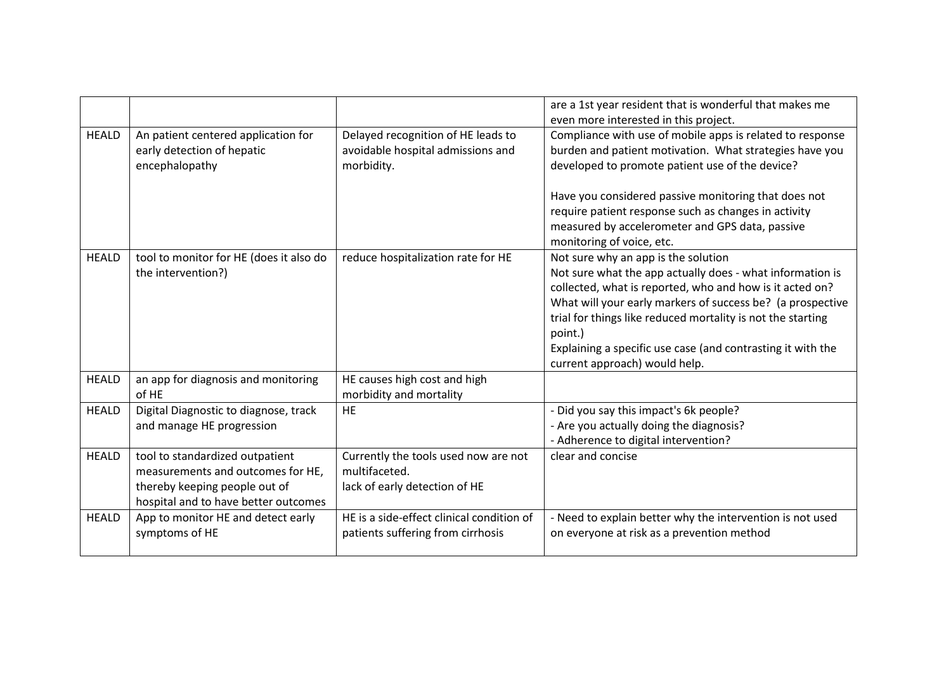|              |                                                                                                                                               |                                                                                        | are a 1st year resident that is wonderful that makes me<br>even more interested in this project.                                                                                                                                                                                                                                                                                                     |
|--------------|-----------------------------------------------------------------------------------------------------------------------------------------------|----------------------------------------------------------------------------------------|------------------------------------------------------------------------------------------------------------------------------------------------------------------------------------------------------------------------------------------------------------------------------------------------------------------------------------------------------------------------------------------------------|
| <b>HEALD</b> | An patient centered application for<br>early detection of hepatic<br>encephalopathy                                                           | Delayed recognition of HE leads to<br>avoidable hospital admissions and<br>morbidity.  | Compliance with use of mobile apps is related to response<br>burden and patient motivation. What strategies have you<br>developed to promote patient use of the device?                                                                                                                                                                                                                              |
|              |                                                                                                                                               |                                                                                        | Have you considered passive monitoring that does not<br>require patient response such as changes in activity<br>measured by accelerometer and GPS data, passive<br>monitoring of voice, etc.                                                                                                                                                                                                         |
| <b>HEALD</b> | tool to monitor for HE (does it also do<br>the intervention?)                                                                                 | reduce hospitalization rate for HE                                                     | Not sure why an app is the solution<br>Not sure what the app actually does - what information is<br>collected, what is reported, who and how is it acted on?<br>What will your early markers of success be? (a prospective<br>trial for things like reduced mortality is not the starting<br>point.)<br>Explaining a specific use case (and contrasting it with the<br>current approach) would help. |
| <b>HEALD</b> | an app for diagnosis and monitoring<br>of HE                                                                                                  | HE causes high cost and high<br>morbidity and mortality                                |                                                                                                                                                                                                                                                                                                                                                                                                      |
| <b>HEALD</b> | Digital Diagnostic to diagnose, track<br>and manage HE progression                                                                            | <b>HE</b>                                                                              | - Did you say this impact's 6k people?<br>- Are you actually doing the diagnosis?<br>- Adherence to digital intervention?                                                                                                                                                                                                                                                                            |
| <b>HEALD</b> | tool to standardized outpatient<br>measurements and outcomes for HE,<br>thereby keeping people out of<br>hospital and to have better outcomes | Currently the tools used now are not<br>multifaceted.<br>lack of early detection of HE | clear and concise                                                                                                                                                                                                                                                                                                                                                                                    |
| <b>HEALD</b> | App to monitor HE and detect early<br>symptoms of HE                                                                                          | HE is a side-effect clinical condition of<br>patients suffering from cirrhosis         | - Need to explain better why the intervention is not used<br>on everyone at risk as a prevention method                                                                                                                                                                                                                                                                                              |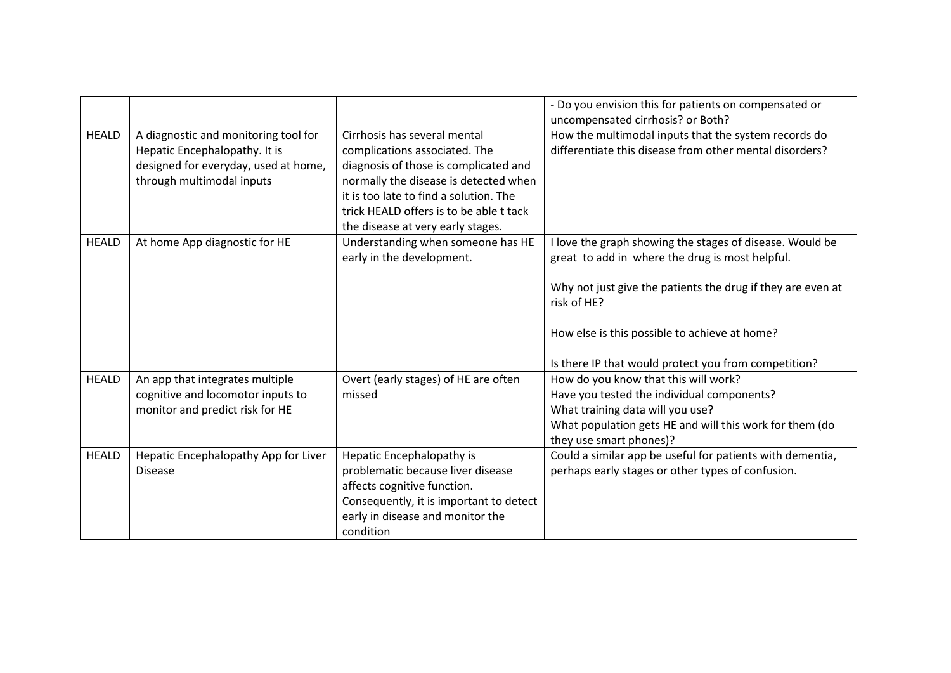|              |                                                                                                                                            |                                                                                                                                                                                                                                                                           | - Do you envision this for patients on compensated or<br>uncompensated cirrhosis? or Both?                                                                                                                                                                                                         |
|--------------|--------------------------------------------------------------------------------------------------------------------------------------------|---------------------------------------------------------------------------------------------------------------------------------------------------------------------------------------------------------------------------------------------------------------------------|----------------------------------------------------------------------------------------------------------------------------------------------------------------------------------------------------------------------------------------------------------------------------------------------------|
| <b>HEALD</b> | A diagnostic and monitoring tool for<br>Hepatic Encephalopathy. It is<br>designed for everyday, used at home,<br>through multimodal inputs | Cirrhosis has several mental<br>complications associated. The<br>diagnosis of those is complicated and<br>normally the disease is detected when<br>it is too late to find a solution. The<br>trick HEALD offers is to be able t tack<br>the disease at very early stages. | How the multimodal inputs that the system records do<br>differentiate this disease from other mental disorders?                                                                                                                                                                                    |
| <b>HEALD</b> | At home App diagnostic for HE                                                                                                              | Understanding when someone has HE<br>early in the development.                                                                                                                                                                                                            | I love the graph showing the stages of disease. Would be<br>great to add in where the drug is most helpful.<br>Why not just give the patients the drug if they are even at<br>risk of HE?<br>How else is this possible to achieve at home?<br>Is there IP that would protect you from competition? |
| <b>HEALD</b> | An app that integrates multiple<br>cognitive and locomotor inputs to<br>monitor and predict risk for HE                                    | Overt (early stages) of HE are often<br>missed                                                                                                                                                                                                                            | How do you know that this will work?<br>Have you tested the individual components?<br>What training data will you use?<br>What population gets HE and will this work for them (do<br>they use smart phones)?                                                                                       |
| <b>HEALD</b> | Hepatic Encephalopathy App for Liver<br><b>Disease</b>                                                                                     | Hepatic Encephalopathy is<br>problematic because liver disease<br>affects cognitive function.<br>Consequently, it is important to detect<br>early in disease and monitor the<br>condition                                                                                 | Could a similar app be useful for patients with dementia,<br>perhaps early stages or other types of confusion.                                                                                                                                                                                     |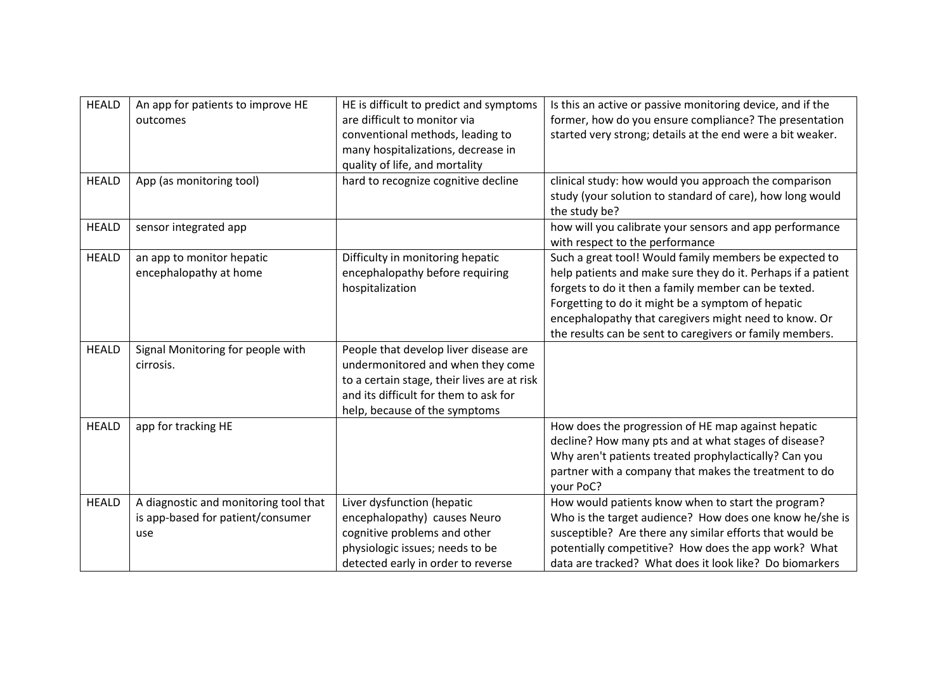| <b>HEALD</b> | An app for patients to improve HE<br>outcomes                                     | HE is difficult to predict and symptoms<br>are difficult to monitor via<br>conventional methods, leading to<br>many hospitalizations, decrease in<br>quality of life, and mortality                 | Is this an active or passive monitoring device, and if the<br>former, how do you ensure compliance? The presentation<br>started very strong; details at the end were a bit weaker.                                                                                                                                                                       |
|--------------|-----------------------------------------------------------------------------------|-----------------------------------------------------------------------------------------------------------------------------------------------------------------------------------------------------|----------------------------------------------------------------------------------------------------------------------------------------------------------------------------------------------------------------------------------------------------------------------------------------------------------------------------------------------------------|
| <b>HEALD</b> | App (as monitoring tool)                                                          | hard to recognize cognitive decline                                                                                                                                                                 | clinical study: how would you approach the comparison<br>study (your solution to standard of care), how long would<br>the study be?                                                                                                                                                                                                                      |
| <b>HEALD</b> | sensor integrated app                                                             |                                                                                                                                                                                                     | how will you calibrate your sensors and app performance<br>with respect to the performance                                                                                                                                                                                                                                                               |
| <b>HEALD</b> | an app to monitor hepatic<br>encephalopathy at home                               | Difficulty in monitoring hepatic<br>encephalopathy before requiring<br>hospitalization                                                                                                              | Such a great tool! Would family members be expected to<br>help patients and make sure they do it. Perhaps if a patient<br>forgets to do it then a family member can be texted.<br>Forgetting to do it might be a symptom of hepatic<br>encephalopathy that caregivers might need to know. Or<br>the results can be sent to caregivers or family members. |
| <b>HEALD</b> | Signal Monitoring for people with<br>cirrosis.                                    | People that develop liver disease are<br>undermonitored and when they come<br>to a certain stage, their lives are at risk<br>and its difficult for them to ask for<br>help, because of the symptoms |                                                                                                                                                                                                                                                                                                                                                          |
| <b>HEALD</b> | app for tracking HE                                                               |                                                                                                                                                                                                     | How does the progression of HE map against hepatic<br>decline? How many pts and at what stages of disease?<br>Why aren't patients treated prophylactically? Can you<br>partner with a company that makes the treatment to do<br>your PoC?                                                                                                                |
| <b>HEALD</b> | A diagnostic and monitoring tool that<br>is app-based for patient/consumer<br>use | Liver dysfunction (hepatic<br>encephalopathy) causes Neuro<br>cognitive problems and other<br>physiologic issues; needs to be<br>detected early in order to reverse                                 | How would patients know when to start the program?<br>Who is the target audience? How does one know he/she is<br>susceptible? Are there any similar efforts that would be<br>potentially competitive? How does the app work? What<br>data are tracked? What does it look like? Do biomarkers                                                             |